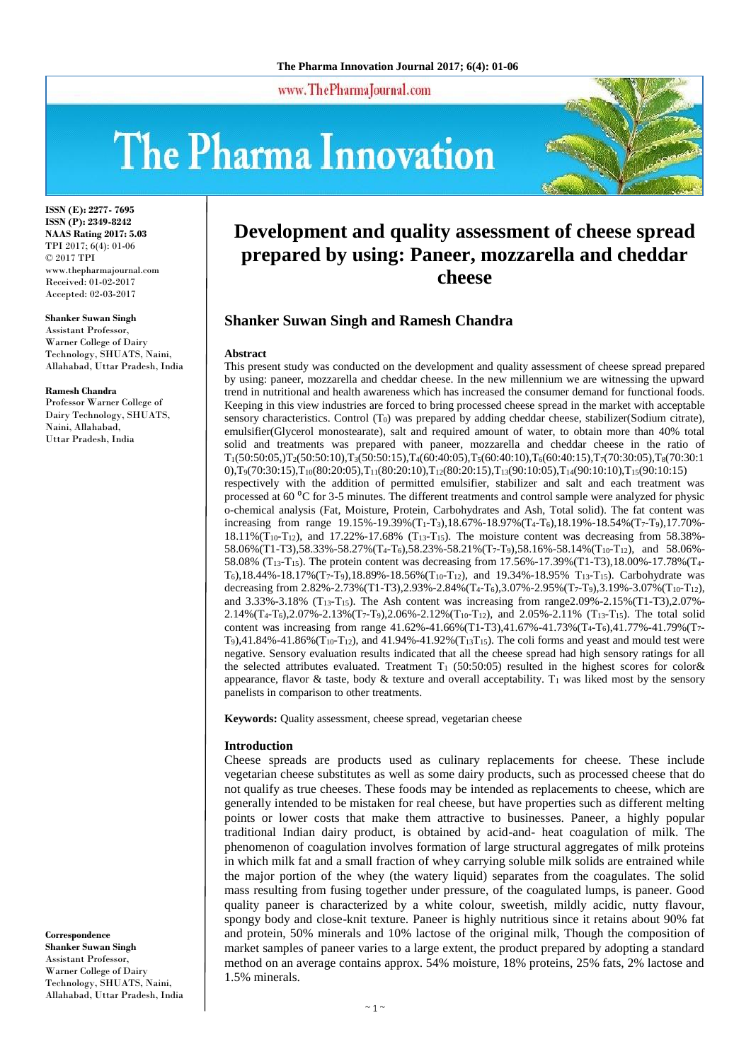www.ThePharmaJournal.com

# The Pharma Innovation



**ISSN (E): 2277- 7695 ISSN (P): 2349-8242 NAAS Rating 2017: 5.03** TPI 2017; 6(4): 01-06 © 2017 TPI www.thepharmajournal.com Received: 01-02-2017 Accepted: 02-03-2017

#### **Shanker Suwan Singh**

Assistant Professor, Warner College of Dairy Technology, SHUATS, Naini, Allahabad, Uttar Pradesh, India

#### **Ramesh Chandra**

Professor Warner College of Dairy Technology, SHUATS. Naini, Allahabad, Uttar Pradesh, India

**Correspondence Shanker Suwan Singh** Assistant Professor, Warner College of Dairy Technology, SHUATS, Naini, Allahabad, Uttar Pradesh, India

# **Development and quality assessment of cheese spread prepared by using: Paneer, mozzarella and cheddar cheese**

#### **Shanker Suwan Singh and Ramesh Chandra**

#### **Abstract**

This present study was conducted on the development and quality assessment of cheese spread prepared by using: paneer, mozzarella and cheddar cheese. In the new millennium we are witnessing the upward trend in nutritional and health awareness which has increased the consumer demand for functional foods. Keeping in this view industries are forced to bring processed cheese spread in the market with acceptable sensory characteristics. Control (T<sub>0</sub>) was prepared by adding cheddar cheese, stabilizer(Sodium citrate), emulsifier(Glycerol monostearate), salt and required amount of water, to obtain more than 40% total solid and treatments was prepared with paneer, mozzarella and cheddar cheese in the ratio of T1(50:50:05,)T2(50:50:10),T3(50:50:15),T4(60:40:05),T5(60:40:10),T6(60:40:15),T7(70:30:05),T8(70:30:1 0),T9(70:30:15),T10(80:20:05),T11(80:20:10),T12(80:20:15),T13(90:10:05),T14(90:10:10),T15(90:10:15) respectively with the addition of permitted emulsifier, stabilizer and salt and each treatment was processed at 60 <sup>o</sup>C for 3-5 minutes. The different treatments and control sample were analyzed for physic o-chemical analysis (Fat, Moisture, Protein, Carbohydrates and Ash, Total solid). The fat content was increasing from range 19.15%-19.39%(T1-T3),18.67%-18.97%(T4-T6),18.19%-18.54%(T7-T9),17.70%-  $18.11\%$ (T<sub>10</sub>-T<sub>12</sub>), and 17.22%-17.68% (T<sub>13</sub>-T<sub>15</sub>). The moisture content was decreasing from 58.38%-58.06% (T1-T3),58.33%-58.27% (T<sub>4</sub>-T<sub>6</sub>),58.23%-58.21% (T<sub>7</sub>-T<sub>9</sub>),58.16%-58.14% (T<sub>10</sub>-T<sub>12</sub>), and 58.06%-58.08% (T13-T15). The protein content was decreasing from 17.56%-17.39%(T1-T3),18.00%-17.78%(T4-  $T_6$ ),18.44%-18.17%(T<sub>7</sub>-T<sub>9</sub>),18.89%-18.56%(T<sub>10</sub>-T<sub>12</sub>), and 19.34%-18.95% T<sub>13</sub>-T<sub>15</sub>). Carbohydrate was decreasing from 2.82%-2.73%(T1-T3),2.93%-2.84%(T4-T6),3.07%-2.95%(T7-T9),3.19%-3.07%(T10-T12), and  $3.33\% - 3.18\%$  (T<sub>13</sub>-T<sub>15</sub>). The Ash content was increasing from range 2.09%-2.15% (T<sub>1</sub>-T3), 2.07%-2.14%  $(T_4 - T_6)$ , 2.07%-2.13%  $(T_7 - T_9)$ , 2.06%-2.12%  $(T_{10} - T_{12})$ , and 2.05%-2.11%  $(T_{13} - T_{15})$ . The total solid content was increasing from range 41.62%-41.66%(T1-T3),41.67%-41.73%(T4-T6),41.77%-41.79%(T7- T9),41.84%-41.86%(T<sub>10</sub>-T<sub>12</sub>), and 41.94%-41.92%(T<sub>13</sub>T<sub>15</sub>). The coli forms and yeast and mould test were negative. Sensory evaluation results indicated that all the cheese spread had high sensory ratings for all the selected attributes evaluated. Treatment T<sub>1</sub> (50:50:05) resulted in the highest scores for color& appearance, flavor & taste, body & texture and overall acceptability.  $T_1$  was liked most by the sensory panelists in comparison to other treatments.

**Keywords:** Quality assessment, cheese spread, vegetarian cheese

#### **Introduction**

Cheese spreads are products used as culinary replacements for cheese. These include vegetarian cheese substitutes as well as some dairy products, such as processed cheese that do not qualify as true cheeses. These foods may be intended as replacements to cheese, which are generally intended to be mistaken for real cheese, but have properties such as different melting points or lower costs that make them attractive to businesses. Paneer, a highly popular traditional Indian dairy product, is obtained by acid-and- heat coagulation of milk. The phenomenon of coagulation involves formation of large structural aggregates of milk proteins in which milk fat and a small fraction of whey carrying soluble milk solids are entrained while the major portion of the whey (the watery liquid) separates from the coagulates. The solid mass resulting from fusing together under pressure, of the coagulated lumps, is paneer. Good quality paneer is characterized by a white colour, sweetish, mildly acidic, nutty flavour, spongy body and close-knit texture. Paneer is highly nutritious since it retains about 90% fat and protein, 50% minerals and 10% lactose of the original milk, Though the composition of market samples of paneer varies to a large extent, the product prepared by adopting a standard method on an average contains approx. 54% moisture, 18% proteins, 25% fats, 2% lactose and 1.5% minerals.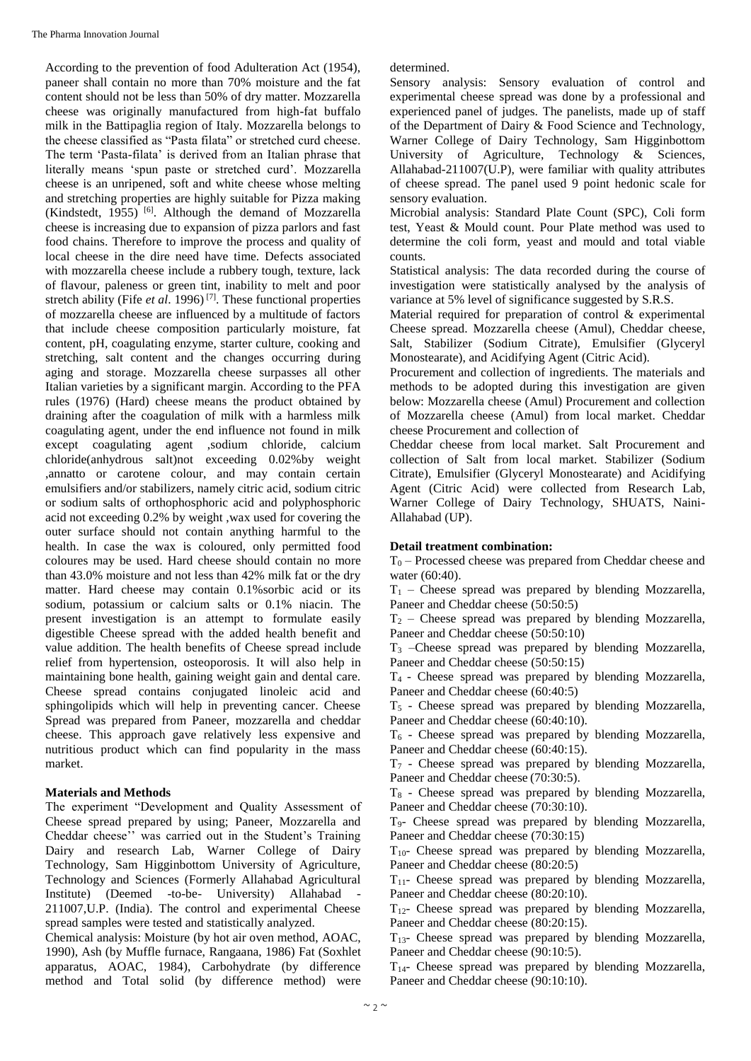According to the prevention of food Adulteration Act (1954), paneer shall contain no more than 70% moisture and the fat content should not be less than 50% of dry matter. Mozzarella cheese was originally manufactured from high-fat buffalo milk in the Battipaglia region of Italy. Mozzarella belongs to the cheese classified as "Pasta filata" or stretched curd cheese. The term 'Pasta-filata' is derived from an Italian phrase that literally means 'spun paste or stretched curd'. Mozzarella cheese is an unripened, soft and white cheese whose melting and stretching properties are highly suitable for Pizza making (Kindstedt, 1955) [6]. Although the demand of Mozzarella cheese is increasing due to expansion of pizza parlors and fast food chains. Therefore to improve the process and quality of local cheese in the dire need have time. Defects associated with mozzarella cheese include a rubbery tough, texture, lack of flavour, paleness or green tint, inability to melt and poor stretch ability (Fife *et al.* 1996)<sup>[7]</sup>. These functional properties of mozzarella cheese are influenced by a multitude of factors that include cheese composition particularly moisture, fat content, pH, coagulating enzyme, starter culture, cooking and stretching, salt content and the changes occurring during aging and storage. Mozzarella cheese surpasses all other Italian varieties by a significant margin. According to the PFA rules (1976) (Hard) cheese means the product obtained by draining after the coagulation of milk with a harmless milk coagulating agent, under the end influence not found in milk except coagulating agent ,sodium chloride, calcium chloride(anhydrous salt)not exceeding 0.02%by weight ,annatto or carotene colour, and may contain certain emulsifiers and/or stabilizers, namely citric acid, sodium citric or sodium salts of orthophosphoric acid and polyphosphoric acid not exceeding 0.2% by weight ,wax used for covering the outer surface should not contain anything harmful to the health. In case the wax is coloured, only permitted food coloures may be used. Hard cheese should contain no more than 43.0% moisture and not less than 42% milk fat or the dry matter. Hard cheese may contain 0.1%sorbic acid or its sodium, potassium or calcium salts or 0.1% niacin. The present investigation is an attempt to formulate easily digestible Cheese spread with the added health benefit and value addition. The health benefits of Cheese spread include relief from hypertension, osteoporosis. It will also help in maintaining bone health, gaining weight gain and dental care. Cheese spread contains conjugated linoleic acid and sphingolipids which will help in preventing cancer. Cheese Spread was prepared from Paneer, mozzarella and cheddar cheese. This approach gave relatively less expensive and nutritious product which can find popularity in the mass market.

#### **Materials and Methods**

The experiment "Development and Quality Assessment of Cheese spread prepared by using; Paneer, Mozzarella and Cheddar cheese'' was carried out in the Student's Training Dairy and research Lab, Warner College of Dairy Technology, Sam Higginbottom University of Agriculture, Technology and Sciences (Formerly Allahabad Agricultural Institute) (Deemed -to-be- University) Allahabad - 211007,U.P. (India). The control and experimental Cheese spread samples were tested and statistically analyzed.

Chemical analysis: Moisture (by hot air oven method, AOAC, 1990), Ash (by Muffle furnace, Rangaana, 1986) Fat (Soxhlet apparatus, AOAC, 1984), Carbohydrate (by difference method and Total solid (by difference method) were determined.

Sensory analysis: Sensory evaluation of control and experimental cheese spread was done by a professional and experienced panel of judges. The panelists, made up of staff of the Department of Dairy & Food Science and Technology, Warner College of Dairy Technology, Sam Higginbottom University of Agriculture, Technology & Sciences, Allahabad-211007(U.P), were familiar with quality attributes of cheese spread. The panel used 9 point hedonic scale for sensory evaluation.

Microbial analysis: Standard Plate Count (SPC), Coli form test, Yeast & Mould count. Pour Plate method was used to determine the coli form, yeast and mould and total viable counts.

Statistical analysis: The data recorded during the course of investigation were statistically analysed by the analysis of variance at 5% level of significance suggested by S.R.S.

Material required for preparation of control & experimental Cheese spread. Mozzarella cheese (Amul), Cheddar cheese, Salt, Stabilizer (Sodium Citrate), Emulsifier (Glyceryl Monostearate), and Acidifying Agent (Citric Acid).

Procurement and collection of ingredients. The materials and methods to be adopted during this investigation are given below: Mozzarella cheese (Amul) Procurement and collection of Mozzarella cheese (Amul) from local market. Cheddar cheese Procurement and collection of

Cheddar cheese from local market. Salt Procurement and collection of Salt from local market. Stabilizer (Sodium Citrate), Emulsifier (Glyceryl Monostearate) and Acidifying Agent (Citric Acid) were collected from Research Lab, Warner College of Dairy Technology, SHUATS, Naini-Allahabad (UP).

#### **Detail treatment combination:**

 $T_0$  – Processed cheese was prepared from Cheddar cheese and water (60:40).

 $T_1$  – Cheese spread was prepared by blending Mozzarella, Paneer and Cheddar cheese (50:50:5)

 $T<sub>2</sub>$  – Cheese spread was prepared by blending Mozzarella, Paneer and Cheddar cheese (50:50:10)

T<sup>3</sup> –Cheese spread was prepared by blending Mozzarella, Paneer and Cheddar cheese (50:50:15)

T4 - Cheese spread was prepared by blending Mozzarella, Paneer and Cheddar cheese (60:40:5)

 $T<sub>5</sub>$  - Cheese spread was prepared by blending Mozzarella, Paneer and Cheddar cheese (60:40:10).

 $T<sub>6</sub>$  - Cheese spread was prepared by blending Mozzarella, Paneer and Cheddar cheese (60:40:15).

 $T<sub>7</sub>$  - Cheese spread was prepared by blending Mozzarella, Paneer and Cheddar cheese (70:30:5).

 $T_8$  - Cheese spread was prepared by blending Mozzarella, Paneer and Cheddar cheese (70:30:10).

T9- Cheese spread was prepared by blending Mozzarella, Paneer and Cheddar cheese (70:30:15)

T10- Cheese spread was prepared by blending Mozzarella, Paneer and Cheddar cheese (80:20:5)

T11- Cheese spread was prepared by blending Mozzarella, Paneer and Cheddar cheese (80:20:10).

 $T_{12}$ - Cheese spread was prepared by blending Mozzarella, Paneer and Cheddar cheese (80:20:15).

T13- Cheese spread was prepared by blending Mozzarella, Paneer and Cheddar cheese (90:10:5).

T14- Cheese spread was prepared by blending Mozzarella, Paneer and Cheddar cheese (90:10:10).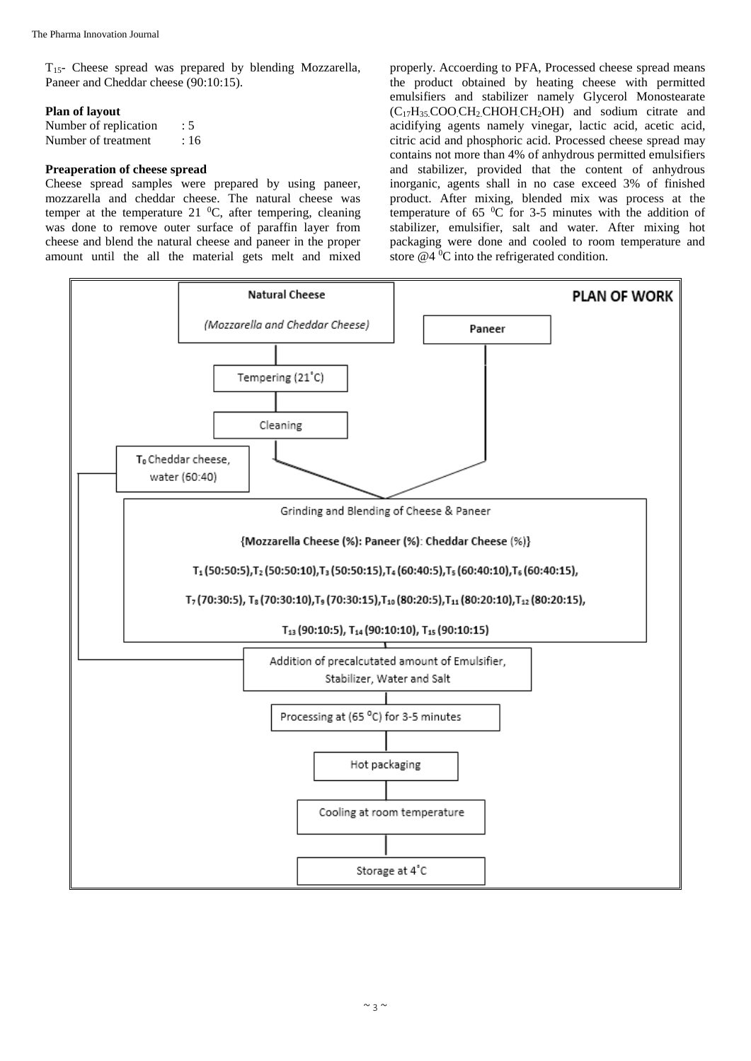T15- Cheese spread was prepared by blending Mozzarella, Paneer and Cheddar cheese (90:10:15).

#### **Plan of layout**

| Number of replication | : 5 |
|-----------------------|-----|
| Number of treatment   | :16 |

#### **Preaperation of cheese spread**

Cheese spread samples were prepared by using paneer, mozzarella and cheddar cheese. The natural cheese was temper at the temperature 21  $^0C$ , after tempering, cleaning was done to remove outer surface of paraffin layer from cheese and blend the natural cheese and paneer in the proper amount until the all the material gets melt and mixed

properly. Accoerding to PFA, Processed cheese spread means the product obtained by heating cheese with permitted emulsifiers and stabilizer namely Glycerol Monostearate (C17H35.COO.CH2.CHOH.CH2OH) and sodium citrate and acidifying agents namely vinegar, lactic acid, acetic acid, citric acid and phosphoric acid. Processed cheese spread may contains not more than 4% of anhydrous permitted emulsifiers and stabilizer, provided that the content of anhydrous inorganic, agents shall in no case exceed 3% of finished product. After mixing, blended mix was process at the temperature of  $65\text{ °C}$  for 3-5 minutes with the addition of stabilizer, emulsifier, salt and water. After mixing hot packaging were done and cooled to room temperature and store  $@4$ <sup>0</sup>C into the refrigerated condition.

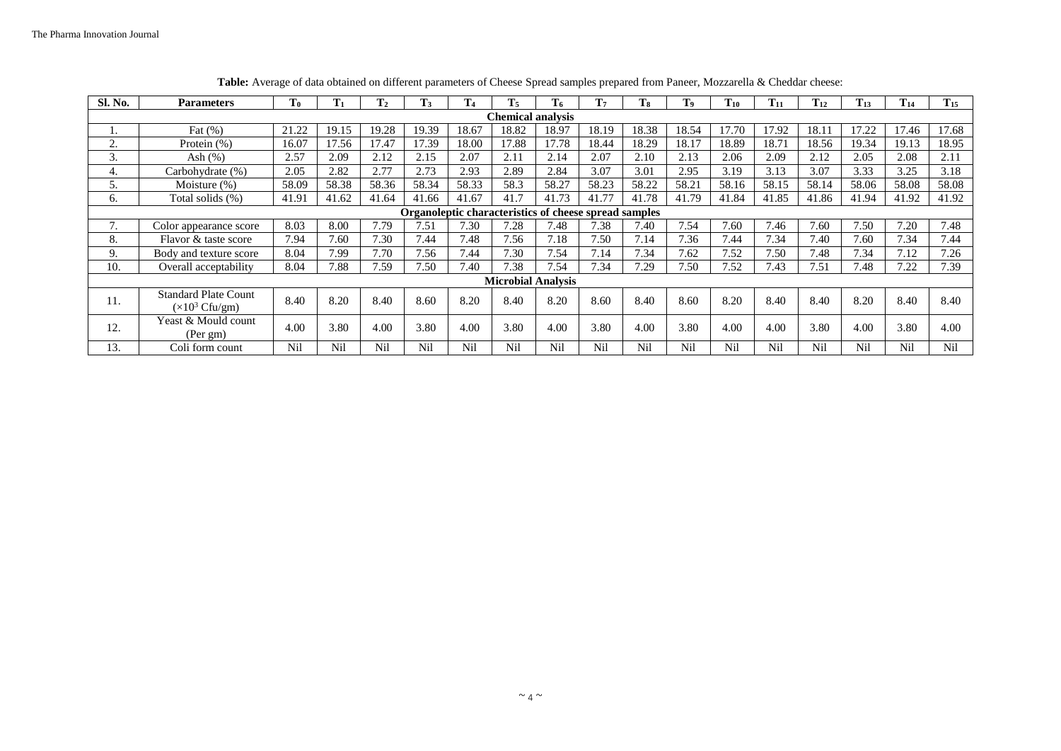| Sl. No.                                               | <b>Parameters</b>                                             | T <sub>0</sub> | $T_1$ | T <sub>2</sub> | T <sub>3</sub> | T <sub>4</sub> | $T_5$ | T <sub>6</sub> | T <sub>7</sub> | T <sub>8</sub> | T <sub>9</sub> | $T_{10}$ | $T_{11}$ | $T_{12}$ | $T_{13}$ | $T_{14}$ | $T_{15}$ |
|-------------------------------------------------------|---------------------------------------------------------------|----------------|-------|----------------|----------------|----------------|-------|----------------|----------------|----------------|----------------|----------|----------|----------|----------|----------|----------|
| <b>Chemical analysis</b>                              |                                                               |                |       |                |                |                |       |                |                |                |                |          |          |          |          |          |          |
|                                                       | Fat $(\%)$                                                    | 21.22          | 19.15 | 19.28          | 19.39          | 18.67          | 18.82 | 18.97          | 18.19          | 18.38          | 18.54          | 17.70    | 17.92    | 18.11    | 7.22     | 17.46    | 17.68    |
| <sup><math>\gamma</math></sup>                        | Protein (%)                                                   | 16.07          | 17.56 | 17.47          | 17.39          | 18.00          | 17.88 | 17.78          | 18.44          | 18.29          | 18.17          | 18.89    | 18.71    | 18.56    | 19.34    | 19.13    | 18.95    |
| 3.                                                    | Ash $(\%)$                                                    | 2.57           | 2.09  | 2.12           | 2.15           | 2.07           | 2.11  | 2.14           | 2.07           | 2.10           | 2.13           | 2.06     | 2.09     | 2.12     | 2.05     | 2.08     | 2.11     |
| 4.                                                    | Carbohydrate (%)                                              | 2.05           | 2.82  | 2.77           | 2.73           | 2.93           | 2.89  | 2.84           | 3.07           | 3.01           | 2.95           | 3.19     | 3.13     | 3.07     | 3.33     | 3.25     | 3.18     |
| כ.                                                    | Moisture $(\%)$                                               | 58.09          | 58.38 | 58.36          | 58.34          | 58.33          | 58.3  | 58.27          | 58.23          | 58.22          | 58.21          | 58.16    | 58.15    | 58.14    | 58.06    | 58.08    | 58.08    |
| 6.                                                    | Total solids (%)                                              | 41.91          | 41.62 | 41.64          | 41.66          | 41.67          | 41.7  | 41.73          | 41.77          | 41.78          | 41.79          | 41.84    | 41.85    | 41.86    | 41.94    | 41.92    | 41.92    |
| Organoleptic characteristics of cheese spread samples |                                                               |                |       |                |                |                |       |                |                |                |                |          |          |          |          |          |          |
| ⇁                                                     | Color appearance score                                        | 8.03           | 8.00  | 7.79           | 7.51           | 7.30           | 7.28  | 7.48           | 7.38           | 7.40           | 7.54           | 7.60     | 7.46     | 7.60     | 7.50     | 7.20     | 7.48     |
| 8.                                                    | Flavor & taste score                                          | 7.94           | 7.60  | 7.30           | 7.44           | 7.48           | 7.56  | 7.18           | 7.50           | 7.14           | 7.36           | 7.44     | 7.34     | 7.40     | 7.60     | 7.34     | 7.44     |
| 9.                                                    | Body and texture score                                        | 8.04           | 7.99  | 7.70           | 7.56           | 7.44           | 7.30  | 7.54           | 7.14           | 7.34           | 7.62           | 7.52     | 7.50     | 7.48     | 7.34     | 7.12     | 7.26     |
| 10.                                                   | Overall acceptability                                         | 8.04           | 7.88  | 7.59           | 7.50           | 7.40           | 7.38  | 7.54           | 7.34           | 7.29           | 7.50           | 7.52     | 7.43     | 7.51     | 7.48     | 7.22     | 7.39     |
| <b>Microbial Analysis</b>                             |                                                               |                |       |                |                |                |       |                |                |                |                |          |          |          |          |          |          |
| 11.                                                   | <b>Standard Plate Count</b><br>$(\times 10^3 \text{ Cfu/gm})$ | 8.40           | 8.20  | 8.40           | 8.60           | 8.20           | 8.40  | 8.20           | 8.60           | 8.40           | 8.60           | 8.20     | 8.40     | 8.40     | 8.20     | 8.40     | 8.40     |
| 12.                                                   | Yeast & Mould count<br>(Per gm)                               | 4.00           | 3.80  | 4.00           | 3.80           | 4.00           | 3.80  | 4.00           | 3.80           | 4.00           | 3.80           | 4.00     | 4.00     | 3.80     | 4.00     | 3.80     | 4.00     |
| 13.                                                   | Coli form count                                               | Nil            | Nil   | Nil            | Nil            | Nil            | Nil   | Nil            | Nil            | Nil            | Nil            | Nil      | Nil      | Nil      | Nil      | Nil      | Nil      |

**Table:** Average of data obtained on different parameters of Cheese Spread samples prepared from Paneer, Mozzarella & Cheddar cheese: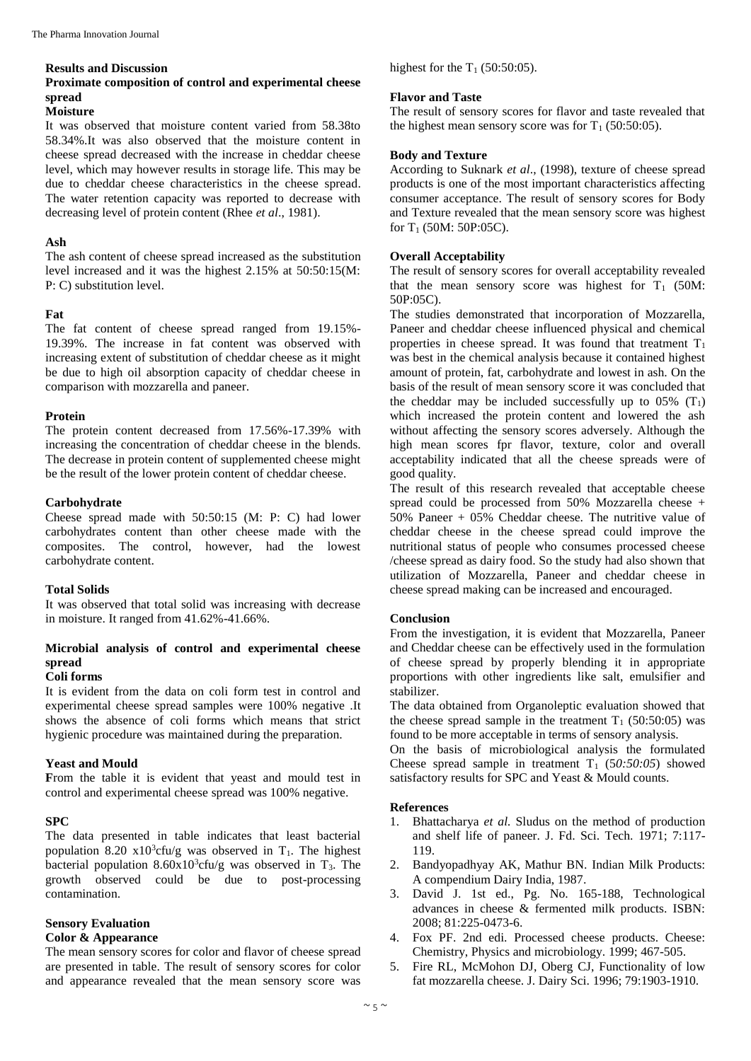#### **Results and Discussion**

# **Proximate composition of control and experimental cheese spread**

#### **Moisture**

It was observed that moisture content varied from 58.38to 58.34%.It was also observed that the moisture content in cheese spread decreased with the increase in cheddar cheese level, which may however results in storage life. This may be due to cheddar cheese characteristics in the cheese spread. The water retention capacity was reported to decrease with decreasing level of protein content (Rhee *et al*., 1981).

#### **Ash**

The ash content of cheese spread increased as the substitution level increased and it was the highest 2.15% at 50:50:15(M: P: C) substitution level.

#### **Fat**

The fat content of cheese spread ranged from 19.15%- 19.39%. The increase in fat content was observed with increasing extent of substitution of cheddar cheese as it might be due to high oil absorption capacity of cheddar cheese in comparison with mozzarella and paneer.

#### **Protein**

The protein content decreased from 17.56%-17.39% with increasing the concentration of cheddar cheese in the blends. The decrease in protein content of supplemented cheese might be the result of the lower protein content of cheddar cheese.

#### **Carbohydrate**

Cheese spread made with 50:50:15 (M: P: C) had lower carbohydrates content than other cheese made with the composites. The control, however, had the lowest carbohydrate content.

#### **Total Solids**

It was observed that total solid was increasing with decrease in moisture. It ranged from 41.62%-41.66%.

# **Microbial analysis of control and experimental cheese spread**

## **Coli forms**

It is evident from the data on coli form test in control and experimental cheese spread samples were 100% negative .It shows the absence of coli forms which means that strict hygienic procedure was maintained during the preparation.

## **Yeast and Mould**

From the table it is evident that yeast and mould test in control and experimental cheese spread was 100% negative.

#### **SPC**

The data presented in table indicates that least bacterial population 8.20  $x10^3$ cfu/g was observed in T<sub>1</sub>. The highest bacterial population  $8.60 \times 10^3$ cfu/g was observed in T<sub>3</sub>. The growth observed could be due to post-processing contamination.

#### **Sensory Evaluation Color & Appearance**

The mean sensory scores for color and flavor of cheese spread are presented in table. The result of sensory scores for color and appearance revealed that the mean sensory score was highest for the  $T_1$  (50:50:05).

#### **Flavor and Taste**

The result of sensory scores for flavor and taste revealed that the highest mean sensory score was for  $T_1$  (50:50:05).

## **Body and Texture**

According to Suknark *et al*., (1998), texture of cheese spread products is one of the most important characteristics affecting consumer acceptance. The result of sensory scores for Body and Texture revealed that the mean sensory score was highest for  $T_1$  (50M: 50P:05C).

## **Overall Acceptability**

The result of sensory scores for overall acceptability revealed that the mean sensory score was highest for  $T_1$  (50M: 50P:05C).

The studies demonstrated that incorporation of Mozzarella, Paneer and cheddar cheese influenced physical and chemical properties in cheese spread. It was found that treatment  $T_1$ was best in the chemical analysis because it contained highest amount of protein, fat, carbohydrate and lowest in ash. On the basis of the result of mean sensory score it was concluded that the cheddar may be included successfully up to  $05\%$  (T<sub>1</sub>) which increased the protein content and lowered the ash without affecting the sensory scores adversely. Although the high mean scores fpr flavor, texture, color and overall acceptability indicated that all the cheese spreads were of good quality.

The result of this research revealed that acceptable cheese spread could be processed from 50% Mozzarella cheese +  $50\%$  Paneer +  $05\%$  Cheddar cheese. The nutritive value of cheddar cheese in the cheese spread could improve the nutritional status of people who consumes processed cheese /cheese spread as dairy food. So the study had also shown that utilization of Mozzarella, Paneer and cheddar cheese in cheese spread making can be increased and encouraged.

#### **Conclusion**

From the investigation, it is evident that Mozzarella, Paneer and Cheddar cheese can be effectively used in the formulation of cheese spread by properly blending it in appropriate proportions with other ingredients like salt, emulsifier and stabilizer.

The data obtained from Organoleptic evaluation showed that the cheese spread sample in the treatment  $T_1$  (50:50:05) was found to be more acceptable in terms of sensory analysis.

On the basis of microbiological analysis the formulated Cheese spread sample in treatment  $T_1$  (50:50:05) showed satisfactory results for SPC and Yeast & Mould counts.

#### **References**

- 1. Bhattacharya *et al.* Sludus on the method of production and shelf life of paneer. J. Fd. Sci. Tech. 1971; 7:117- 119.
- 2. Bandyopadhyay AK, Mathur BN. Indian Milk Products: A compendium Dairy India, 1987.
- 3. David J. 1st ed., Pg. No. 165-188, Technological advances in cheese & fermented milk products. ISBN: 2008; 81:225-0473-6.
- 4. Fox PF. 2nd edi. Processed cheese products. Cheese: Chemistry, Physics and microbiology. 1999; 467-505.
- 5. Fire RL, McMohon DJ, Oberg CJ, Functionality of low fat mozzarella cheese. J. Dairy Sci. 1996; 79:1903-1910.